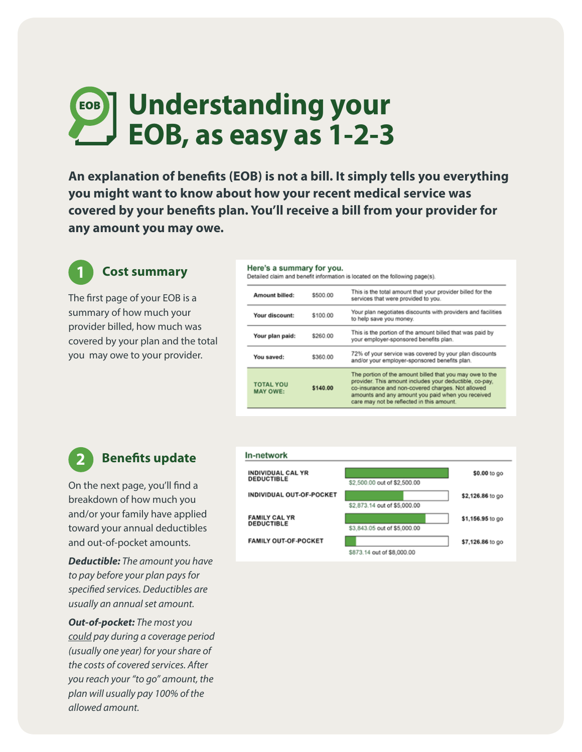# **Understanding your EOB, as easy as 1-2-3**

**An explanation of benefits (EOB) is not a bill. It simply tells you everything you might want to know about how your recent medical service was covered by your benefits plan. You'll receive a bill from your provider for any amount you may owe.** 

# **1 Cost summary**

The first page of your EOB is a summary of how much your provider billed, how much was covered by your plan and the total you may owe to your provider.

#### Here's a summary for you.

Detailed claim and benefit information is located on the following page(s).

| This is the total amount that your provider billed for the<br>\$500.00<br>Amount billed:<br>services that were provided to you.<br>Your plan negotiates discounts with providers and facilities<br>Your discount:<br>\$100.00<br>to help save you money.                                                                      |  |
|-------------------------------------------------------------------------------------------------------------------------------------------------------------------------------------------------------------------------------------------------------------------------------------------------------------------------------|--|
|                                                                                                                                                                                                                                                                                                                               |  |
|                                                                                                                                                                                                                                                                                                                               |  |
| This is the portion of the amount billed that was paid by<br>\$260.00<br>Your plan paid:<br>your employer-sponsored benefits plan.                                                                                                                                                                                            |  |
| 72% of your service was covered by your plan discounts<br>You saved:<br>\$360.00<br>and/or your employer-sponsored benefits plan.                                                                                                                                                                                             |  |
| The portion of the amount billed that you may owe to the<br>provider. This amount includes your deductible, co-pay,<br><b>TOTAL YOU</b><br>co-insurance and non-covered charges. Not allowed<br>\$140.00<br><b>MAY OWE:</b><br>amounts and any amount you paid when you received<br>care may not be reflected in this amount. |  |

## **2 Benefits update**

On the next page, you'll find a breakdown of how much you and/or your family have applied toward your annual deductibles and out-of-pocket amounts.

*Deductible: The amount you have to pay before your plan pays for specified services. Deductibles are usually an annual set amount.* 

*Out-of-pocket: The most you could pay during a coverage period (usually one year) for your share of the costs of covered services. After you reach your "to go" amount, the plan will usually pay 100% of the allowed amount.*